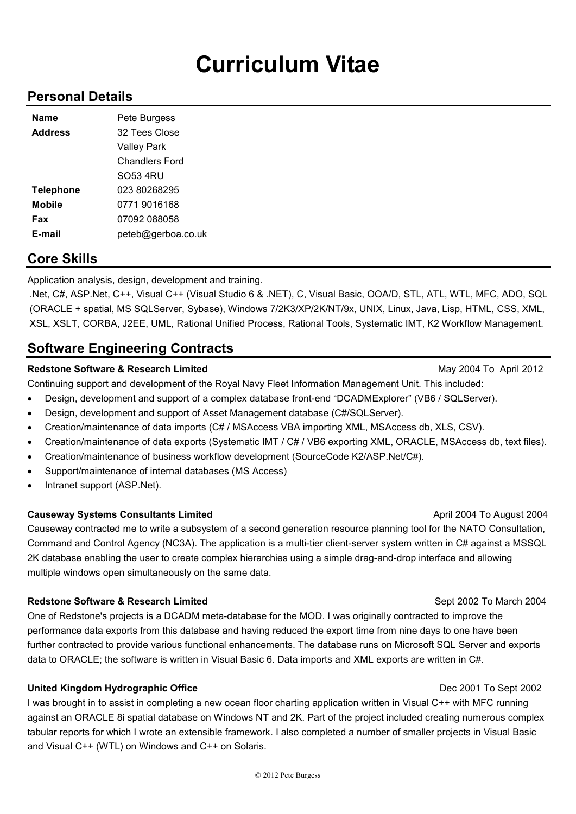# **Curriculum Vitae**

### **Personal Details**

| Name             | Pete Burgess          |
|------------------|-----------------------|
| <b>Address</b>   | 32 Tees Close         |
|                  | <b>Valley Park</b>    |
|                  | <b>Chandlers Ford</b> |
|                  | SO53 4RU              |
| <b>Telephone</b> | 023 80268295          |
| <b>Mobile</b>    | 0771 9016168          |
| Fax              | 07092 088058          |
| E-mail           | peteb@gerboa.co.uk    |

### **Core Skills**

Application analysis, design, development and training.

.Net, C#, ASP.Net, C++, Visual C++ (Visual Studio 6 & .NET), C, Visual Basic, OOA/D, STL, ATL, WTL, MFC, ADO, SQL (ORACLE + spatial, MS SQLServer, Sybase), Windows 7/2K3/XP/2K/NT/9x, UNIX, Linux, Java, Lisp, HTML, CSS, XML, XSL, XSLT, CORBA, J2EE, UML, Rational Unified Process, Rational Tools, Systematic IMT, K2 Workflow Management.

## **Software Engineering Contracts**

### **Redstone Software & Research Limited May 2004 To April 2012** May 2004 To April 2012

Continuing support and development of the Royal Navy Fleet Information Management Unit. This included:

- Design, development and support of a complex database front-end "DCADMExplorer" (VB6 / SQLServer).
- Design, development and support of Asset Management database (C#/SQLServer).
- Creation/maintenance of data imports (C# / MSAccess VBA importing XML, MSAccess db, XLS, CSV).
- Creation/maintenance of data exports (Systematic IMT / C# / VB6 exporting XML, ORACLE, MSAccess db, text files).
- Creation/maintenance of business workflow development (SourceCode K2/ASP.Net/C#).
- Support/maintenance of internal databases (MS Access)
- Intranet support (ASP.Net).

### **Causeway Systems Consultants Limited Consultants April 2004 To August 2004**

Causeway contracted me to write a subsystem of a second generation resource planning tool for the NATO Consultation, Command and Control Agency (NC3A). The application is a multi-tier client-server system written in C# against a MSSQL 2K database enabling the user to create complex hierarchies using a simple drag-and-drop interface and allowing multiple windows open simultaneously on the same data.

### **Redstone Software & Research Limited September 2002 To March 2004** Sept 2002 To March 2004

One of Redstone's projects is a DCADM meta-database for the MOD. I was originally contracted to improve the performance data exports from this database and having reduced the export time from nine days to one have been further contracted to provide various functional enhancements. The database runs on Microsoft SQL Server and exports data to ORACLE; the software is written in Visual Basic 6. Data imports and XML exports are written in C#.

### **United Kingdom Hydrographic Office** Dec 2001 To Sept 2002

I was brought in to assist in completing a new ocean floor charting application written in Visual C++ with MFC running against an ORACLE 8i spatial database on Windows NT and 2K. Part of the project included creating numerous complex tabular reports for which I wrote an extensible framework. I also completed a number of smaller projects in Visual Basic and Visual C++ (WTL) on Windows and C++ on Solaris.

### © 2012 Pete Burgess